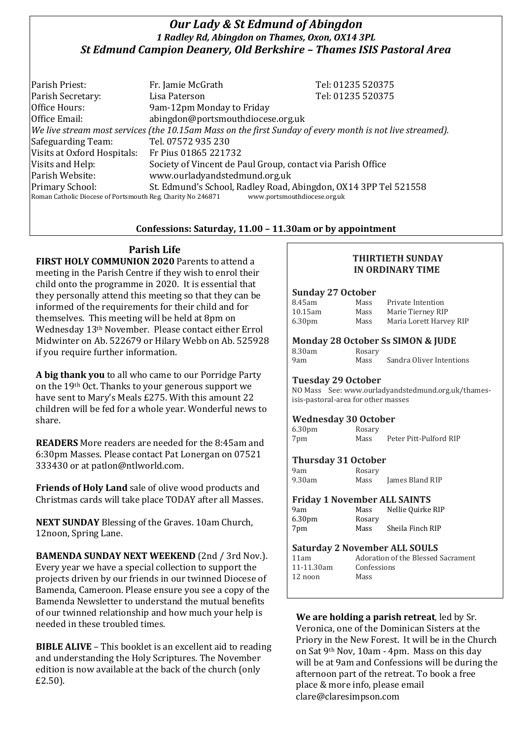# *Our Lady & St Edmund of Abingdon 1 Radley Rd, Abingdon on Thames, Oxon, OX14 3PL St Edmund Campion Deanery, Old Berkshire – Thames ISIS Pastoral Area*

Parish Priest: Fr. Jamie McGrath Tel: 01235 520375 Parish Secretary: Tel: 01235 520375 Office Hours: 9am-12pm Monday to Friday Office Email: abingdon@portsmouthdiocese.org.uk *We live stream most services (the 10.15am Mass on the first Sunday of every month is not live streamed).* Safeguarding Team: Tel. 07572 935 230 Visits at Oxford Hospitals: Fr Pius 01865 221732 Visits and Help: Society of Vincent de Paul Group, contact via Parish Office Parish Website: www.ourladyandstedmund.org.uk Primary School: St. Edmund's School, Radley Road, Abingdon, OX14 3PP Tel 521558 Roman Catholic Diocese of Portsmouth Reg. Charity No 246871 www.portsmouthdiocese.org.uk

## **Confessions: Saturday, 11.00 – 11.30am or by appointment**

# **Parish Life**

**FIRST HOLY COMMUNION 2020** Parents to attend a meeting in the Parish Centre if they wish to enrol their child onto the programme in 2020. It is essential that they personally attend this meeting so that they can be informed of the requirements for their child and for themselves. This meeting will be held at 8pm on Wednesday 13th November. Please contact either Errol Midwinter on Ab. 522679 or Hilary Webb on Ab. 525928 if you require further information.

**A big thank you** to all who came to our Porridge Party on the 19th Oct. Thanks to your generous support we have sent to Mary's Meals £275. With this amount 22 children will be fed for a whole year. Wonderful news to share.

**READERS** More readers are needed for the 8:45am and 6:30pm Masses. Please contact Pat Lonergan on 07521 333430 or at patlon@ntlworld.com.

**Friends of Holy Land** sale of olive wood products and Christmas cards will take place TODAY after all Masses.

**NEXT SUNDAY** Blessing of the Graves. 10am Church, 12noon, Spring Lane.

**BAMENDA SUNDAY NEXT WEEKEND** (2nd / 3rd Nov.). Every year we have a special collection to support the projects driven by our friends in our twinned Diocese of Bamenda, Cameroon. Please ensure you see a copy of the Bamenda Newsletter to understand the mutual benefits of our twinned relationship and how much your help is needed in these troubled times.

**BIBLE ALIVE** – This booklet is an excellent aid to reading and understanding the Holy Scriptures. The November edition is now available at the back of the church (only £2.50).

## **THIRTIETH SUNDAY IN ORDINARY TIME**

### **Sunday 27 October**

| 8.45am             | Mass | Private Intention       |
|--------------------|------|-------------------------|
| $10.15$ am         | Mass | Marie Tierney RIP       |
| 6.30 <sub>pm</sub> | Mass | Maria Lorett Harvey RIP |

#### **Monday 28 October Ss SIMON & JUDE** Rosary

| 8.30am |  |
|--------|--|
| 9am    |  |

Mass Sandra Oliver Intentions

## **Tuesday 29 October**

NO Mass See: www.ourladyandstedmund.org.uk/thamesisis-pastoral-area for other masses

## **Wednesday 30 October**

| 6.30 <sub>pm</sub> | Rosary |                        |
|--------------------|--------|------------------------|
| 7pm                | Mass   | Peter Pitt-Pulford RIP |

## **Thursday 31 October**

| 9am    | Rosary |                 |
|--------|--------|-----------------|
| 9.30am | Mass   | James Bland RIP |

### **Friday 1 November ALL SAINTS**

| 9am                | Mass   | Nellie Quirke RIP |
|--------------------|--------|-------------------|
| 6.30 <sub>pm</sub> | Rosary |                   |
| 7pm                | Mass   | Sheila Finch RIP  |

#### **Saturday 2 November ALL SOULS**

| 11am       | Adoration of the Blessed Sacrament |
|------------|------------------------------------|
| 11-11.30am | Confessions                        |
| 12 noon    | Mass                               |

## **We are holding a parish retreat**, led by Sr.

Veronica, one of the Dominican Sisters at the Priory in the New Forest. It will be in the Church on Sat 9th Nov, 10am - 4pm. Mass on this day will be at 9am and Confessions will be during the afternoon part of the retreat. To book a free place & more info, please email clare@claresimpson.com